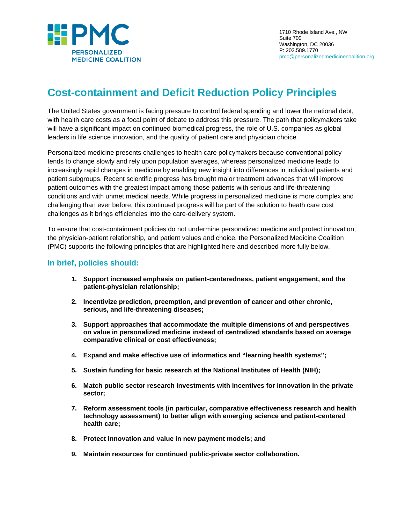

# **Cost-containment and Deficit Reduction Policy Principles**

The United States government is facing pressure to control federal spending and lower the national debt, with health care costs as a focal point of debate to address this pressure. The path that policymakers take will have a significant impact on continued biomedical progress, the role of U.S. companies as global leaders in life science innovation, and the quality of patient care and physician choice.

Personalized medicine presents challenges to health care policymakers because conventional policy tends to change slowly and rely upon population averages, whereas personalized medicine leads to increasingly rapid changes in medicine by enabling new insight into differences in individual patients and patient subgroups. Recent scientific progress has brought major treatment advances that will improve patient outcomes with the greatest impact among those patients with serious and life-threatening conditions and with unmet medical needs. While progress in personalized medicine is more complex and challenging than ever before, this continued progress will be part of the solution to heath care cost challenges as it brings efficiencies into the care-delivery system.

To ensure that cost-containment policies do not undermine personalized medicine and protect innovation, the physician-patient relationship, and patient values and choice, the Personalized Medicine Coalition (PMC) supports the following principles that are highlighted here and described more fully below.

# **In brief, policies should:**

- **1. Support increased emphasis on patient-centeredness, patient engagement, and the patient-physician relationship;**
- **2. Incentivize prediction, preemption, and prevention of cancer and other chronic, serious, and life-threatening diseases;**
- **3. Support approaches that accommodate the multiple dimensions of and perspectives on value in personalized medicine instead of centralized standards based on average comparative clinical or cost effectiveness;**
- **4. Expand and make effective use of informatics and "learning health systems";**
- **5. Sustain funding for basic research at the National Institutes of Health (NIH);**
- **6. Match public sector research investments with incentives for innovation in the private sector;**
- **7. Reform assessment tools (in particular, comparative effectiveness research and health technology assessment) to better align with emerging science and patient-centered health care;**
- **8. Protect innovation and value in new payment models; and**
- **9. Maintain resources for continued public-private sector collaboration.**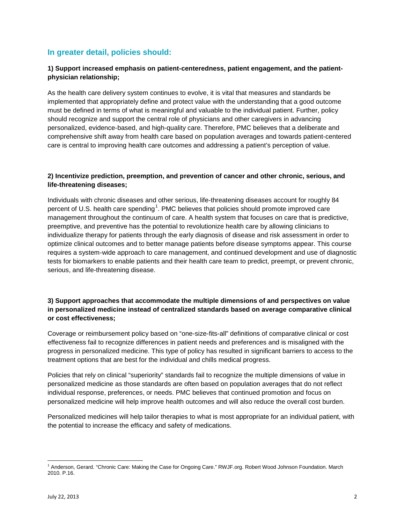# **In greater detail, policies should:**

#### **1) Support increased emphasis on patient-centeredness, patient engagement, and the patientphysician relationship;**

As the health care delivery system continues to evolve, it is vital that measures and standards be implemented that appropriately define and protect value with the understanding that a good outcome must be defined in terms of what is meaningful and valuable to the individual patient. Further, policy should recognize and support the central role of physicians and other caregivers in advancing personalized, evidence-based, and high-quality care. Therefore, PMC believes that a deliberate and comprehensive shift away from health care based on population averages and towards patient-centered care is central to improving health care outcomes and addressing a patient's perception of value.

## **2) Incentivize prediction, preemption, and prevention of cancer and other chronic, serious, and life-threatening diseases;**

Individuals with chronic diseases and other serious, life-threatening diseases account for roughly 84 percent of U.S. health care spending<sup>[1](#page-1-0)</sup>. PMC believes that policies should promote improved care management throughout the continuum of care. A health system that focuses on care that is predictive, preemptive, and preventive has the potential to revolutionize health care by allowing clinicians to individualize therapy for patients through the early diagnosis of disease and risk assessment in order to optimize clinical outcomes and to better manage patients before disease symptoms appear. This course requires a system-wide approach to care management, and continued development and use of diagnostic tests for biomarkers to enable patients and their health care team to predict, preempt, or prevent chronic, serious, and life-threatening disease.

## **3) Support approaches that accommodate the multiple dimensions of and perspectives on value in personalized medicine instead of centralized standards based on average comparative clinical or cost effectiveness;**

Coverage or reimbursement policy based on "one-size-fits-all" definitions of comparative clinical or cost effectiveness fail to recognize differences in patient needs and preferences and is misaligned with the progress in personalized medicine. This type of policy has resulted in significant barriers to access to the treatment options that are best for the individual and chills medical progress.

Policies that rely on clinical "superiority" standards fail to recognize the multiple dimensions of value in personalized medicine as those standards are often based on population averages that do not reflect individual response, preferences, or needs. PMC believes that continued promotion and focus on personalized medicine will help improve health outcomes and will also reduce the overall cost burden.

Personalized medicines will help tailor therapies to what is most appropriate for an individual patient, with the potential to increase the efficacy and safety of medications.

<span id="page-1-0"></span><sup>1</sup> Anderson, Gerard. "Chronic Care: Making the Case for Ongoing Care." RWJF.org. Robert Wood Johnson Foundation. March 2010. P.16.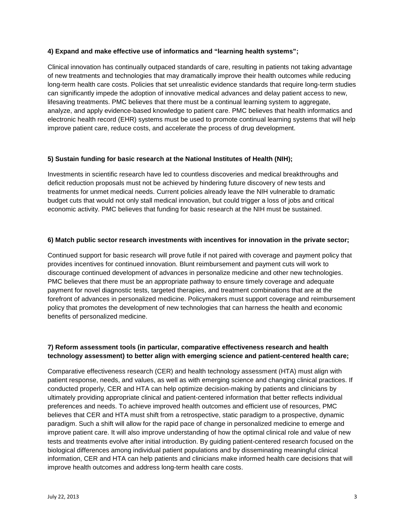#### **4) Expand and make effective use of informatics and "learning health systems";**

Clinical innovation has continually outpaced standards of care, resulting in patients not taking advantage of new treatments and technologies that may dramatically improve their health outcomes while reducing long-term health care costs. Policies that set unrealistic evidence standards that require long-term studies can significantly impede the adoption of innovative medical advances and delay patient access to new, lifesaving treatments. PMC believes that there must be a continual learning system to aggregate, analyze, and apply evidence-based knowledge to patient care. PMC believes that health informatics and electronic health record (EHR) systems must be used to promote continual learning systems that will help improve patient care, reduce costs, and accelerate the process of drug development.

#### **5) Sustain funding for basic research at the National Institutes of Health (NIH);**

Investments in scientific research have led to countless discoveries and medical breakthroughs and deficit reduction proposals must not be achieved by hindering future discovery of new tests and treatments for unmet medical needs. Current policies already leave the NIH vulnerable to dramatic budget cuts that would not only stall medical innovation, but could trigger a loss of jobs and critical economic activity. PMC believes that funding for basic research at the NIH must be sustained.

#### **6) Match public sector research investments with incentives for innovation in the private sector;**

Continued support for basic research will prove futile if not paired with coverage and payment policy that provides incentives for continued innovation. Blunt reimbursement and payment cuts will work to discourage continued development of advances in personalize medicine and other new technologies. PMC believes that there must be an appropriate pathway to ensure timely coverage and adequate payment for novel diagnostic tests, targeted therapies, and treatment combinations that are at the forefront of advances in personalized medicine. Policymakers must support coverage and reimbursement policy that promotes the development of new technologies that can harness the health and economic benefits of personalized medicine.

## **7) Reform assessment tools (in particular, comparative effectiveness research and health technology assessment) to better align with emerging science and patient-centered health care;**

Comparative effectiveness research (CER) and health technology assessment (HTA) must align with patient response, needs, and values, as well as with emerging science and changing clinical practices. If conducted properly, CER and HTA can help optimize decision-making by patients and clinicians by ultimately providing appropriate clinical and patient-centered information that better reflects individual preferences and needs. To achieve improved health outcomes and efficient use of resources, PMC believes that CER and HTA must shift from a retrospective, static paradigm to a prospective, dynamic paradigm. Such a shift will allow for the rapid pace of change in personalized medicine to emerge and improve patient care. It will also improve understanding of how the optimal clinical role and value of new tests and treatments evolve after initial introduction. By guiding patient-centered research focused on the biological differences among individual patient populations and by disseminating meaningful clinical information, CER and HTA can help patients and clinicians make informed health care decisions that will improve health outcomes and address long-term health care costs.